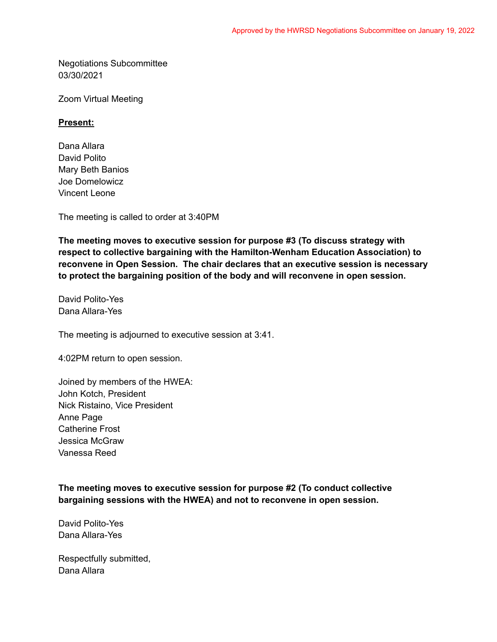Negotiations Subcommittee 03/30/2021

Zoom Virtual Meeting

## **Present:**

Dana Allara David Polito Mary Beth Banios Joe Domelowicz Vincent Leone

The meeting is called to order at 3:40PM

**The meeting moves to executive session for purpose #3 (To discuss strategy with respect to collective bargaining with the Hamilton-Wenham Education Association) to reconvene in Open Session. The chair declares that an executive session is necessary to protect the bargaining position of the body and will reconvene in open session.**

David Polito-Yes Dana Allara-Yes

The meeting is adjourned to executive session at 3:41.

4:02PM return to open session.

Joined by members of the HWEA: John Kotch, President Nick Ristaino, Vice President Anne Page Catherine Frost Jessica McGraw Vanessa Reed

**The meeting moves to executive session for purpose #2 (To conduct collective bargaining sessions with the HWEA) and not to reconvene in open session.**

David Polito-Yes Dana Allara-Yes

Respectfully submitted, Dana Allara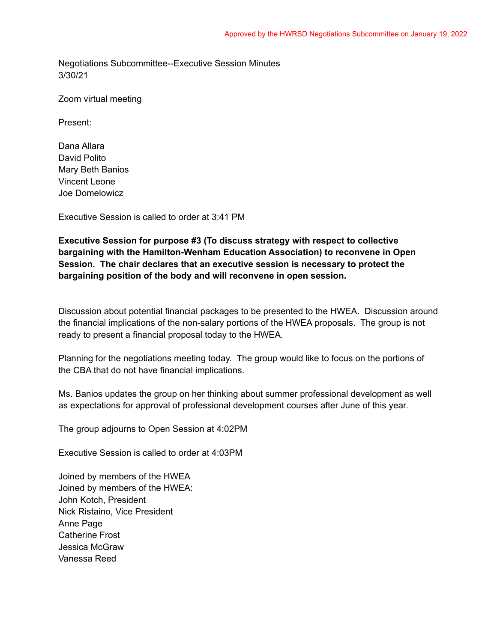Negotiations Subcommittee--Executive Session Minutes 3/30/21

Zoom virtual meeting

Present:

Dana Allara David Polito Mary Beth Banios Vincent Leone Joe Domelowicz

Executive Session is called to order at 3:41 PM

**Executive Session for purpose #3 (To discuss strategy with respect to collective bargaining with the Hamilton-Wenham Education Association) to reconvene in Open Session. The chair declares that an executive session is necessary to protect the bargaining position of the body and will reconvene in open session.**

Discussion about potential financial packages to be presented to the HWEA. Discussion around the financial implications of the non-salary portions of the HWEA proposals. The group is not ready to present a financial proposal today to the HWEA.

Planning for the negotiations meeting today. The group would like to focus on the portions of the CBA that do not have financial implications.

Ms. Banios updates the group on her thinking about summer professional development as well as expectations for approval of professional development courses after June of this year.

The group adjourns to Open Session at 4:02PM

Executive Session is called to order at 4:03PM

Joined by members of the HWEA Joined by members of the HWEA: John Kotch, President Nick Ristaino, Vice President Anne Page Catherine Frost Jessica McGraw Vanessa Reed